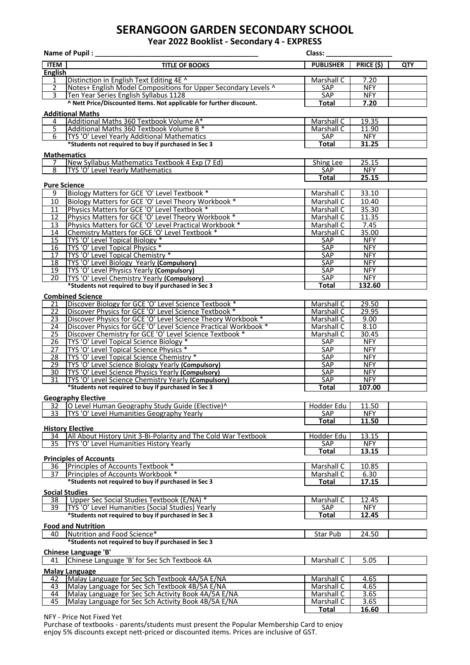## **SERANGOON GARDEN SECONDARY SCHOOL**

**Year 2022 Booklist - Secondary 4 - EXPRESS**

| Name of Pupil:<br>Class:                                                     |                                                                                                        |                                   |                          |     |  |  |  |  |  |
|------------------------------------------------------------------------------|--------------------------------------------------------------------------------------------------------|-----------------------------------|--------------------------|-----|--|--|--|--|--|
| <b>ITEM</b>                                                                  | <b>TITLE OF BOOKS</b>                                                                                  | <b>PUBLISHER</b>                  | <b>PRICE (\$)</b>        | QTY |  |  |  |  |  |
| <b>English</b>                                                               |                                                                                                        |                                   |                          |     |  |  |  |  |  |
| 1                                                                            | Distinction in English Text Editing 4E ^                                                               | Marshall C                        | 7.20                     |     |  |  |  |  |  |
| $\overline{2}$                                                               | Notes+ English Model Compositions for Upper Secondary Levels ^                                         | SAP                               | <b>NFY</b>               |     |  |  |  |  |  |
| $\overline{3}$                                                               | Ten Year Series English Syllabus 1128                                                                  | <b>SAP</b>                        | <b>NFY</b>               |     |  |  |  |  |  |
|                                                                              | ^ Nett Price/Discounted Items. Not applicable for further discount.                                    | <b>Total</b>                      | 7.20                     |     |  |  |  |  |  |
| <b>Additional Maths</b>                                                      |                                                                                                        |                                   |                          |     |  |  |  |  |  |
| 4                                                                            | Additional Maths 360 Textbook Volume A*                                                                | Marshall C                        | 19.35                    |     |  |  |  |  |  |
| $\overline{5}$                                                               | Additional Maths 360 Textbook Volume B *                                                               | Marshall C                        | 11.90                    |     |  |  |  |  |  |
| $6 \overline{}$                                                              | TYS 'O' Level Yearly Additional Mathematics                                                            | <b>SAP</b>                        | <b>NFY</b>               |     |  |  |  |  |  |
| *Students not required to buy if purchased in Sec 3<br><b>Total</b><br>31.25 |                                                                                                        |                                   |                          |     |  |  |  |  |  |
| <b>Mathematics</b>                                                           |                                                                                                        |                                   |                          |     |  |  |  |  |  |
| 7                                                                            | New Syllabus Mathematics Textbook 4 Exp (7 Ed)                                                         | <b>Shing Lee</b>                  | 25.15                    |     |  |  |  |  |  |
| $\overline{8}$                                                               | TYS 'O' Level Yearly Mathematics                                                                       | SAP<br><b>Total</b>               | <b>NFY</b><br>25.15      |     |  |  |  |  |  |
| <b>Pure Science</b>                                                          |                                                                                                        |                                   |                          |     |  |  |  |  |  |
| 9                                                                            | Biology Matters for GCE 'O' Level Textbook *                                                           | Marshall C                        | 33.10                    |     |  |  |  |  |  |
| $\overline{10}$                                                              | Biology Matters for GCE 'O' Level Theory Workbook *                                                    | Marshall C                        | 10.40                    |     |  |  |  |  |  |
| 11                                                                           | Physics Matters for GCE 'O' Level Textbook *                                                           | Marshall C                        | 35.30                    |     |  |  |  |  |  |
| 12                                                                           | Physics Matters for GCE 'O' Level Theory Workbook *                                                    | Marshall C                        | 11.35                    |     |  |  |  |  |  |
| 13                                                                           | Physics Matters for GCE 'O' Level Practical Workbook *                                                 | Marshall C                        | 7.45                     |     |  |  |  |  |  |
| 14                                                                           | Chemistry Matters for GCE 'O' Level Textbook *                                                         | Marshall C                        | 35.00                    |     |  |  |  |  |  |
| 15                                                                           | TYS 'O' Level Topical Biology *                                                                        | <b>SAP</b>                        | <b>NFY</b>               |     |  |  |  |  |  |
| 16                                                                           | TYS 'O' Level Topical Physics *                                                                        | SAP                               | <b>NFY</b>               |     |  |  |  |  |  |
| 17                                                                           | TYS 'O' Level Topical Chemistry *<br>TYS 'O' Level Biology Yearly (Compulsory)                         | <b>SAP</b><br>SAP                 | <b>NFY</b><br><b>NFY</b> |     |  |  |  |  |  |
| 18<br>19                                                                     | TYS 'O' Level Physics Yearly (Compulsory)                                                              | SAP                               | <b>NFY</b>               |     |  |  |  |  |  |
| 20                                                                           | TYS 'O' Level Chemistry Yearly (Compulsory)                                                            | <b>SAP</b>                        | <b>NFY</b>               |     |  |  |  |  |  |
|                                                                              | *Students not required to buy if purchased in Sec 3                                                    | <b>Total</b>                      | 132.60                   |     |  |  |  |  |  |
|                                                                              | <b>Combined Science</b>                                                                                |                                   |                          |     |  |  |  |  |  |
| 21                                                                           | Discover Biology for GCE 'O' Level Science Textbook *                                                  | <b>Marshall C</b>                 | 29.50                    |     |  |  |  |  |  |
| $\overline{22}$                                                              | Discover Physics for GCE 'O' Level Science Textbook *                                                  | <b>Marshall C</b>                 | 29.95                    |     |  |  |  |  |  |
| 23                                                                           | Discover Physics for GCE 'O' Level Science Theory Workbook *                                           | Marshall C                        | 9.00                     |     |  |  |  |  |  |
| 24                                                                           | Discover Physics for GCE 'O' Level Science Practical Workbook *                                        | Marshall C                        | 8.10                     |     |  |  |  |  |  |
| 25                                                                           | Discover Chemistry for GCE 'O' Level Science Textbook *                                                | Marshall C                        | 30.45                    |     |  |  |  |  |  |
| 26                                                                           | TYS 'O' Level Topical Science Biology *                                                                | SAP                               | <b>NFY</b>               |     |  |  |  |  |  |
| $\overline{27}$                                                              | TYS 'O' Level Topical Science Physics *                                                                | <b>SAP</b>                        | <b>NFY</b>               |     |  |  |  |  |  |
| 28                                                                           | TYS 'O' Level Topical Science Chemistry *                                                              | SAP                               | <b>NFY</b>               |     |  |  |  |  |  |
| 29<br>30                                                                     | TYS 'O' Level Science Biology Yearly (Compulsory)<br>TYS 'O' Level Science Physics Yearly (Compulsory) | SAP<br>SAP                        | <b>NFY</b><br><b>NFY</b> |     |  |  |  |  |  |
| $\overline{31}$                                                              | TYS 'O' Level Science Chemistry Yearly (Compulsory)                                                    | <b>SAP</b>                        | <b>NFY</b>               |     |  |  |  |  |  |
|                                                                              | *Students not required to buy if purchased in Sec 3                                                    | <b>Total</b>                      | 107.00                   |     |  |  |  |  |  |
|                                                                              | <b>Geography Elective</b>                                                                              |                                   |                          |     |  |  |  |  |  |
| 32                                                                           | O Level Human Geography Study Guide (Elective)^                                                        | Hodder Edu                        | 11.50                    |     |  |  |  |  |  |
| 33                                                                           | TYS 'O' Level Humanities Geography Yearly                                                              | SAP                               | <b>NFY</b>               |     |  |  |  |  |  |
|                                                                              |                                                                                                        | <b>Total</b>                      | 11.50                    |     |  |  |  |  |  |
|                                                                              | <b>History Elective</b>                                                                                |                                   |                          |     |  |  |  |  |  |
| 34                                                                           | All About History Unit 3-Bi-Polarity and The Cold War Textbook                                         | Hodder Edu                        | 13.15                    |     |  |  |  |  |  |
| 35                                                                           | TYS 'O' Level Humanities History Yearly                                                                | SAP                               | <b>NFY</b>               |     |  |  |  |  |  |
|                                                                              |                                                                                                        | <b>Total</b>                      | 13.15                    |     |  |  |  |  |  |
|                                                                              | <b>Principles of Accounts</b><br>Principles of Accounts Textbook *                                     | Marshall C                        | 10.85                    |     |  |  |  |  |  |
| 36<br>37                                                                     | Principles of Accounts Workbook *                                                                      | Marshall C                        | 6.30                     |     |  |  |  |  |  |
|                                                                              | *Students not required to buy if purchased in Sec 3                                                    | <b>Total</b>                      | 17.15                    |     |  |  |  |  |  |
|                                                                              |                                                                                                        |                                   |                          |     |  |  |  |  |  |
|                                                                              | <b>Social Studies</b><br>Upper Sec Social Studies Textbook (E/NA) *                                    | Marshall C                        | 12.45                    |     |  |  |  |  |  |
| 38<br>39                                                                     | TYS 'O' Level Humanities (Social Studies) Yearly                                                       | SAP                               | <b>NFY</b>               |     |  |  |  |  |  |
|                                                                              | *Students not required to buy if purchased in Sec 3                                                    | <b>Total</b>                      | 12.45                    |     |  |  |  |  |  |
|                                                                              |                                                                                                        |                                   |                          |     |  |  |  |  |  |
| 40                                                                           | <b>Food and Nutrition</b><br>Nutrition and Food Science*                                               |                                   | 24.50                    |     |  |  |  |  |  |
|                                                                              | *Students not required to buy if purchased in Sec 3                                                    | Star Pub                          |                          |     |  |  |  |  |  |
|                                                                              |                                                                                                        |                                   |                          |     |  |  |  |  |  |
|                                                                              | <b>Chinese Language 'B'</b>                                                                            |                                   |                          |     |  |  |  |  |  |
| 41                                                                           | Chinese Language 'B' for Sec Sch Textbook 4A                                                           | Marshall C                        | 5.05                     |     |  |  |  |  |  |
|                                                                              | <b>Malay Language</b>                                                                                  |                                   |                          |     |  |  |  |  |  |
| 42                                                                           | Malay Language for Sec Sch Textbook 4A/5A E/NA                                                         | <b>Marshall C</b>                 | 4.65                     |     |  |  |  |  |  |
| 43                                                                           | Malay Language for Sec Sch Textbook 4B/5A E/NA                                                         | Marshall C                        | 4.65                     |     |  |  |  |  |  |
| 44<br>45                                                                     | Malay Language for Sec Sch Activity Book 4A/5A E/NA                                                    | Marshall C                        | 3.65<br>3.65             |     |  |  |  |  |  |
|                                                                              | Malay Language for Sec Sch Activity Book 4B/5A E/NA                                                    | <b>Marshall C</b><br><b>Total</b> | 16.60                    |     |  |  |  |  |  |

NFY - Price Not Fixed Yet

Purchase of textbooks - parents/students must present the Popular Membership Card to enjoy enjoy 5% discounts except nett-priced or discounted items. Prices are inclusive of GST.